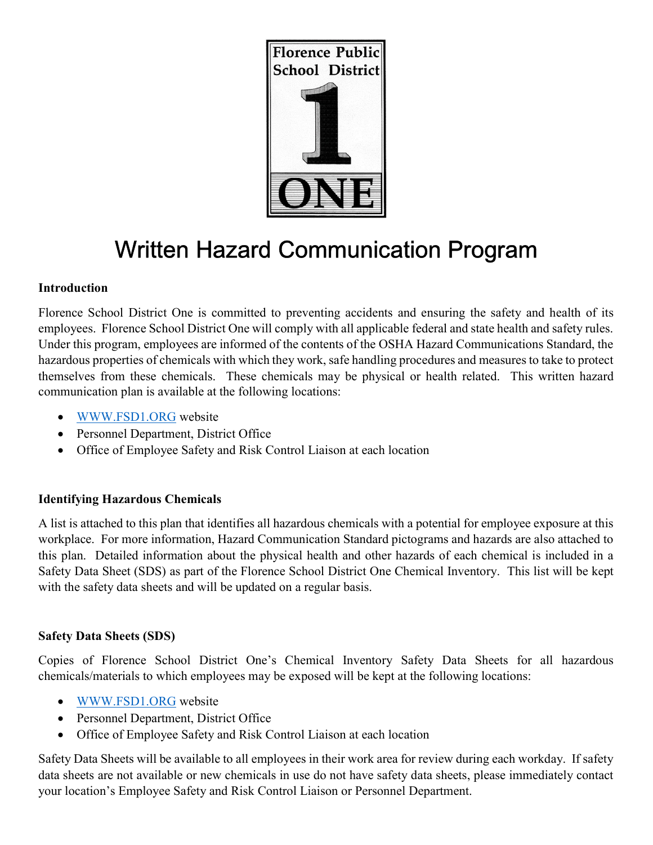

# Written Hazard Communication Program

# Introduction

Florence School District One is committed to preventing accidents and ensuring the safety and health of its employees. Florence School District One will comply with all applicable federal and state health and safety rules. Under this program, employees are informed of the contents of the OSHA Hazard Communications Standard, the hazardous properties of chemicals with which they work, safe handling procedures and measures to take to protect themselves from these chemicals. These chemicals may be physical or health related. This written hazard communication plan is available at the following locations:

- WWW.FSD1.ORG website
- Personnel Department, District Office
- Office of Employee Safety and Risk Control Liaison at each location

# Identifying Hazardous Chemicals

A list is attached to this plan that identifies all hazardous chemicals with a potential for employee exposure at this workplace. For more information, Hazard Communication Standard pictograms and hazards are also attached to this plan. Detailed information about the physical health and other hazards of each chemical is included in a Safety Data Sheet (SDS) as part of the Florence School District One Chemical Inventory. This list will be kept with the safety data sheets and will be updated on a regular basis.

#### Safety Data Sheets (SDS)

Copies of Florence School District One's Chemical Inventory Safety Data Sheets for all hazardous chemicals/materials to which employees may be exposed will be kept at the following locations:

- WWW.FSD1.ORG website
- Personnel Department, District Office
- Office of Employee Safety and Risk Control Liaison at each location

Safety Data Sheets will be available to all employees in their work area for review during each workday. If safety data sheets are not available or new chemicals in use do not have safety data sheets, please immediately contact your location's Employee Safety and Risk Control Liaison or Personnel Department.